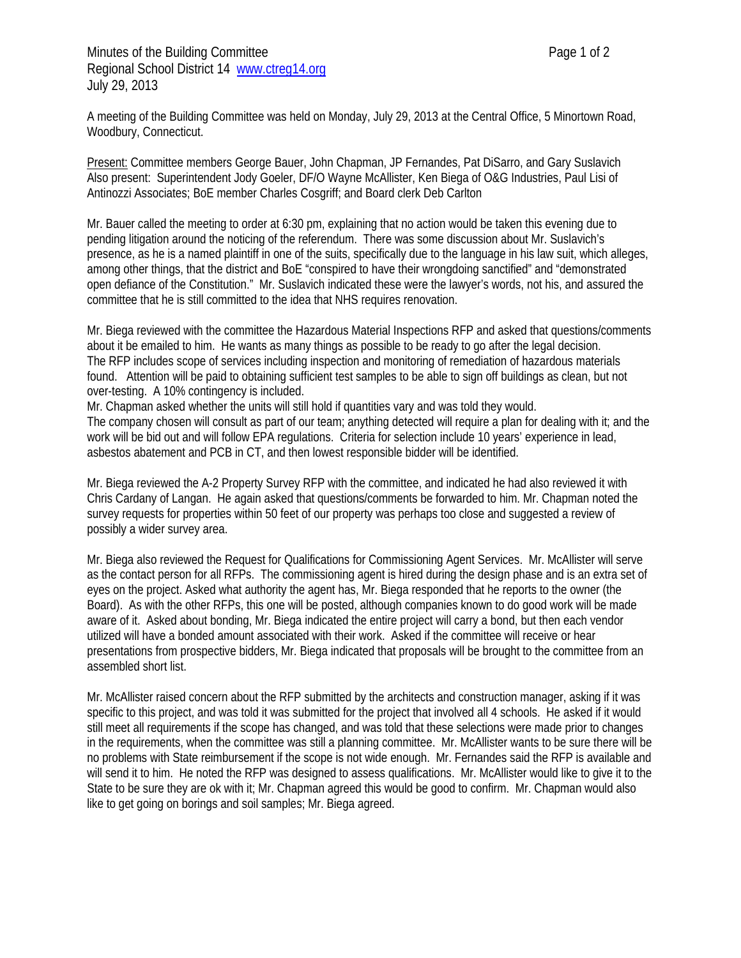A meeting of the Building Committee was held on Monday, July 29, 2013 at the Central Office, 5 Minortown Road, Woodbury, Connecticut.

Present: Committee members George Bauer, John Chapman, JP Fernandes, Pat DiSarro, and Gary Suslavich Also present: Superintendent Jody Goeler, DF/O Wayne McAllister, Ken Biega of O&G Industries, Paul Lisi of Antinozzi Associates; BoE member Charles Cosgriff; and Board clerk Deb Carlton

Mr. Bauer called the meeting to order at 6:30 pm, explaining that no action would be taken this evening due to pending litigation around the noticing of the referendum. There was some discussion about Mr. Suslavich's presence, as he is a named plaintiff in one of the suits, specifically due to the language in his law suit, which alleges, among other things, that the district and BoE "conspired to have their wrongdoing sanctified" and "demonstrated open defiance of the Constitution." Mr. Suslavich indicated these were the lawyer's words, not his, and assured the committee that he is still committed to the idea that NHS requires renovation.

Mr. Biega reviewed with the committee the Hazardous Material Inspections RFP and asked that questions/comments about it be emailed to him. He wants as many things as possible to be ready to go after the legal decision. The RFP includes scope of services including inspection and monitoring of remediation of hazardous materials found. Attention will be paid to obtaining sufficient test samples to be able to sign off buildings as clean, but not over-testing. A 10% contingency is included.

Mr. Chapman asked whether the units will still hold if quantities vary and was told they would. The company chosen will consult as part of our team; anything detected will require a plan for dealing with it; and the work will be bid out and will follow EPA regulations. Criteria for selection include 10 years' experience in lead, asbestos abatement and PCB in CT, and then lowest responsible bidder will be identified.

Mr. Biega reviewed the A-2 Property Survey RFP with the committee, and indicated he had also reviewed it with Chris Cardany of Langan. He again asked that questions/comments be forwarded to him. Mr. Chapman noted the survey requests for properties within 50 feet of our property was perhaps too close and suggested a review of possibly a wider survey area.

Mr. Biega also reviewed the Request for Qualifications for Commissioning Agent Services. Mr. McAllister will serve as the contact person for all RFPs. The commissioning agent is hired during the design phase and is an extra set of eyes on the project. Asked what authority the agent has, Mr. Biega responded that he reports to the owner (the Board). As with the other RFPs, this one will be posted, although companies known to do good work will be made aware of it. Asked about bonding, Mr. Biega indicated the entire project will carry a bond, but then each vendor utilized will have a bonded amount associated with their work. Asked if the committee will receive or hear presentations from prospective bidders, Mr. Biega indicated that proposals will be brought to the committee from an assembled short list.

Mr. McAllister raised concern about the RFP submitted by the architects and construction manager, asking if it was specific to this project, and was told it was submitted for the project that involved all 4 schools. He asked if it would still meet all requirements if the scope has changed, and was told that these selections were made prior to changes in the requirements, when the committee was still a planning committee. Mr. McAllister wants to be sure there will be no problems with State reimbursement if the scope is not wide enough. Mr. Fernandes said the RFP is available and will send it to him. He noted the RFP was designed to assess qualifications. Mr. McAllister would like to give it to the State to be sure they are ok with it; Mr. Chapman agreed this would be good to confirm. Mr. Chapman would also like to get going on borings and soil samples; Mr. Biega agreed.